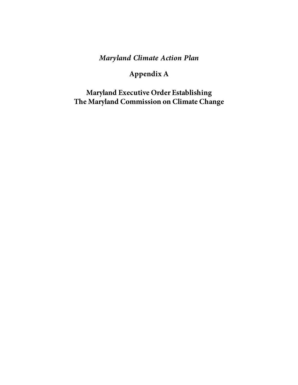## **Maryland Climate Action Plan**

# **Appendix A**

**Maryland Executive Order Establishing The Maryland Commission on Climate Change**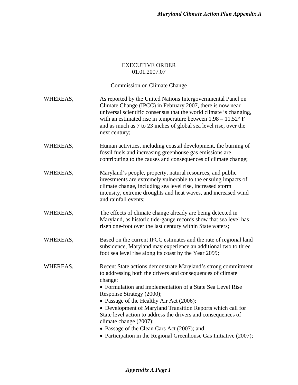#### EXECUTIVE ORDER 01.01.2007.07

#### Commission on Climate Change

| WHEREAS, | As reported by the United Nations Intergovernmental Panel on<br>Climate Change (IPCC) in February 2007, there is now near<br>universal scientific consensus that the world climate is changing,<br>with an estimated rise in temperature between $1.98 - 11.52$ ° F<br>and as much as 7 to 23 inches of global sea level rise, over the<br>next century; |
|----------|----------------------------------------------------------------------------------------------------------------------------------------------------------------------------------------------------------------------------------------------------------------------------------------------------------------------------------------------------------|
| WHEREAS, | Human activities, including coastal development, the burning of<br>fossil fuels and increasing greenhouse gas emissions are<br>contributing to the causes and consequences of climate change;                                                                                                                                                            |
| WHEREAS, | Maryland's people, property, natural resources, and public<br>investments are extremely vulnerable to the ensuing impacts of<br>climate change, including sea level rise, increased storm<br>intensity, extreme droughts and heat waves, and increased wind<br>and rainfall events;                                                                      |
| WHEREAS, | The effects of climate change already are being detected in<br>Maryland, as historic tide-gauge records show that sea level has<br>risen one-foot over the last century within State waters;                                                                                                                                                             |
| WHEREAS, | Based on the current IPCC estimates and the rate of regional land<br>subsidence, Maryland may experience an additional two to three<br>foot sea level rise along its coast by the Year 2099;                                                                                                                                                             |
| WHEREAS, | Recent State actions demonstrate Maryland's strong commitment<br>to addressing both the drivers and consequences of climate<br>change:<br>• Formulation and implementation of a State Sea Level Rise<br>Response Strategy (2000);                                                                                                                        |
|          |                                                                                                                                                                                                                                                                                                                                                          |
|          | • Passage of the Healthy Air Act (2006);                                                                                                                                                                                                                                                                                                                 |
|          | • Development of Maryland Transition Reports which call for<br>State level action to address the drivers and consequences of<br>climate change (2007);                                                                                                                                                                                                   |
|          | • Passage of the Clean Cars Act (2007); and                                                                                                                                                                                                                                                                                                              |
|          | • Participation in the Regional Greenhouse Gas Initiative (2007);                                                                                                                                                                                                                                                                                        |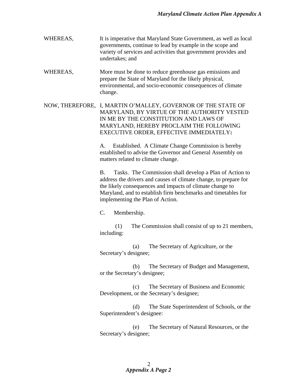WHEREAS,It is imperative that Maryland State Government, as well as local governments, continue to lead by example in the scope and variety of services and activities that government provides and undertakes; and

WHEREAS,More must be done to reduce greenhouse gas emissions and prepare the State of Maryland for the likely physical, environmental, and socio-economic consequences of climate change.

NOW, THEREFORE, I, MARTIN O'MALLEY, GOVERNOR OF THE STATE OF MARYLAND, BY VIRTUE OF THE AUTHORITY VESTED IN ME BY THE CONSTITUTION AND LAWS OF MARYLAND, HEREBY PROCLAIM THE FOLLOWING EXECUTIVE ORDER, EFFECTIVE IMMEDIATELY**:** 

> A. Established. A Climate Change Commission is hereby established to advise the Governor and General Assembly on matters related to climate change.

B. Tasks. The Commission shall develop a Plan of Action to address the drivers and causes of climate change, to prepare for the likely consequences and impacts of climate change to Maryland, and to establish firm benchmarks and timetables for implementing the Plan of Action.

C. Membership.

(1) The Commission shall consist of up to 21 members, including:

(a) The Secretary of Agriculture, or the Secretary's designee;

(b) The Secretary of Budget and Management, or the Secretary's designee;

(c) The Secretary of Business and Economic Development, or the Secretary's designee;

(d) The State Superintendent of Schools, or the Superintendent's designee:

(e) The Secretary of Natural Resources, or the Secretary's designee;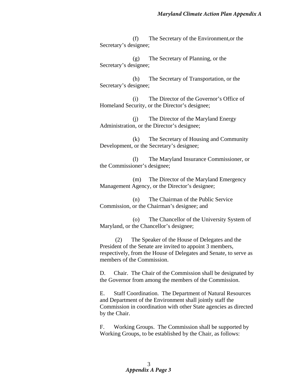(f) The Secretary of the Environment,or the Secretary's designee;

(g) The Secretary of Planning, or the Secretary's designee;

(h) The Secretary of Transportation, or the Secretary's designee;

(i) The Director of the Governor's Office of Homeland Security, or the Director's designee;

(j) The Director of the Maryland Energy Administration, or the Director's designee;

(k) The Secretary of Housing and Community Development, or the Secretary's designee;

(l) The Maryland Insurance Commissioner, or the Commissioner's designee;

(m) The Director of the Maryland Emergency Management Agency, or the Director's designee;

(n) The Chairman of the Public Service Commission, or the Chairman's designee; and

(o) The Chancellor of the University System of Maryland, or the Chancellor's designee;

(2) The Speaker of the House of Delegates and the President of the Senate are invited to appoint 3 members, respectively, from the House of Delegates and Senate, to serve as members of the Commission.

D. Chair. The Chair of the Commission shall be designated by the Governor from among the members of the Commission.

E. Staff Coordination. The Department of Natural Resources and Department of the Environment shall jointly staff the Commission in coordination with other State agencies as directed by the Chair.

F. Working Groups. The Commission shall be supported by Working Groups, to be established by the Chair, as follows: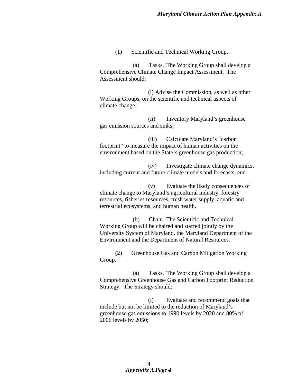(1) Scientific and Technical Working Group.

(a) Tasks. The Working Group shall develop a Comprehensive Climate Change Impact Assessment. The Assessment should:

(i) Advise the Commission, as well as other Working Groups, on the scientific and technical aspects of climate change;

(ii) Inventory Maryland's greenhouse gas emission sources and sinks;

(iii) Calculate Maryland's "carbon footprint" to measure the impact of human activities on the environment based on the State's greenhouse gas production;

(iv) Investigate climate change dynamics, including current and future climate models and forecasts; and

(v) Evaluate the likely consequences of climate change to Maryland's agricultural industry, forestry resources, fisheries resources, fresh water supply, aquatic and terrestrial ecosystems, and human health.

(b) Chair. The Scientific and Technical Working Group will be chaired and staffed jointly by the University System of Maryland, the Maryland Department of the Environment and the Department of Natural Resources.

(2) Greenhouse Gas and Carbon Mitigation Working Group.

(a) Tasks. The Working Group shall develop a Comprehensive Greenhouse Gas and Carbon Footprint Reduction Strategy*.* The Strategy should:

(i) Evaluate and recommend goals that include but not be limited to the reduction of Maryland's greenhouse gas emissions to 1990 levels by 2020 and 80% of 2006 levels by 2050;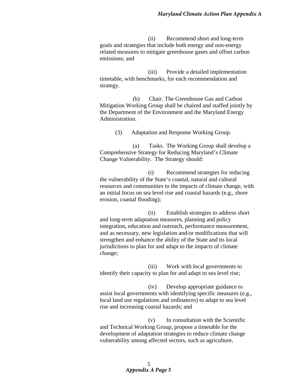(ii) Recommend short and long-term goals and strategies that include both energy and non-energy related measures to mitigate greenhouse gases and offset carbon emissions; and

(iii) Provide a detailed implementation timetable, with benchmarks, for each recommendation and strategy.

(b) Chair. The Greenhouse Gas and Carbon Mitigation Working Group shall be chaired and staffed jointly by the Department of the Environment and the Maryland Energy Administration.

(3) Adaptation and Response Working Group.

(a) Tasks. The Working Group shall develop a Comprehensive Strategy for Reducing Maryland's Climate Change Vulnerability. The Strategy should:

(i) Recommend strategies for reducing the vulnerability of the State's coastal, natural and cultural resources and communities to the impacts of climate change, with an initial focus on sea level rise and coastal hazards (e.g., shore erosion, coastal flooding);

(ii) Establish strategies to address short and long-term adaptation measures, planning and policy integration, education and outreach, performance measurement, and as necessary, new legislation and/or modifications that will strengthen and enhance the ability of the State and its local jurisdictions to plan for and adapt to the impacts of climate change;

(iii) Work with local governments to identify their capacity to plan for and adapt to sea level rise;

(iv) Develop appropriate guidance to assist local governments with identifying specific measures (e.g., local land use regulations and ordinances) to adapt to sea level rise and increasing coastal hazards; and

(v) In consultation with the Scientific and Technical Working Group, propose a timetable for the development of adaptation strategies to reduce climate change vulnerability among affected sectors, such as agriculture,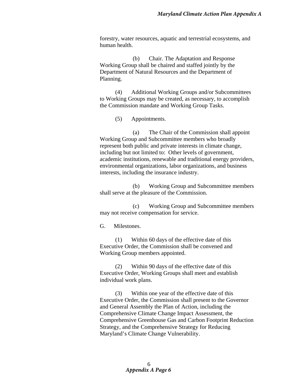forestry, water resources, aquatic and terrestrial ecosystems, and human health.

(b) Chair. The Adaptation and Response Working Group shall be chaired and staffed jointly by the Department of Natural Resources and the Department of Planning.

(4) Additional Working Groups and/or Subcommittees to Working Groups may be created, as necessary, to accomplish the Commission mandate and Working Group Tasks.

(5) Appointments.

(a) The Chair of the Commission shall appoint Working Group and Subcommittee members who broadly represent both public and private interests in climate change, including but not limited to: Other levels of government, academic institutions, renewable and traditional energy providers, environmental organizations, labor organizations, and business interests, including the insurance industry.

(b) Working Group and Subcommittee members shall serve at the pleasure of the Commission.

(c) Working Group and Subcommittee members may not receive compensation for service.

G. Milestones.

(1) Within 60 days of the effective date of this Executive Order, the Commission shall be convened and Working Group members appointed.

(2) Within 90 days of the effective date of this Executive Order, Working Groups shall meet and establish individual work plans.

(3) Within one year of the effective date of this Executive Order, the Commission shall present to the Governor and General Assembly the Plan of Action, including the Comprehensive Climate Change Impact Assessment, the Comprehensive Greenhouse Gas and Carbon Footprint Reduction Strategy, and the Comprehensive Strategy for Reducing Maryland's Climate Change Vulnerability.